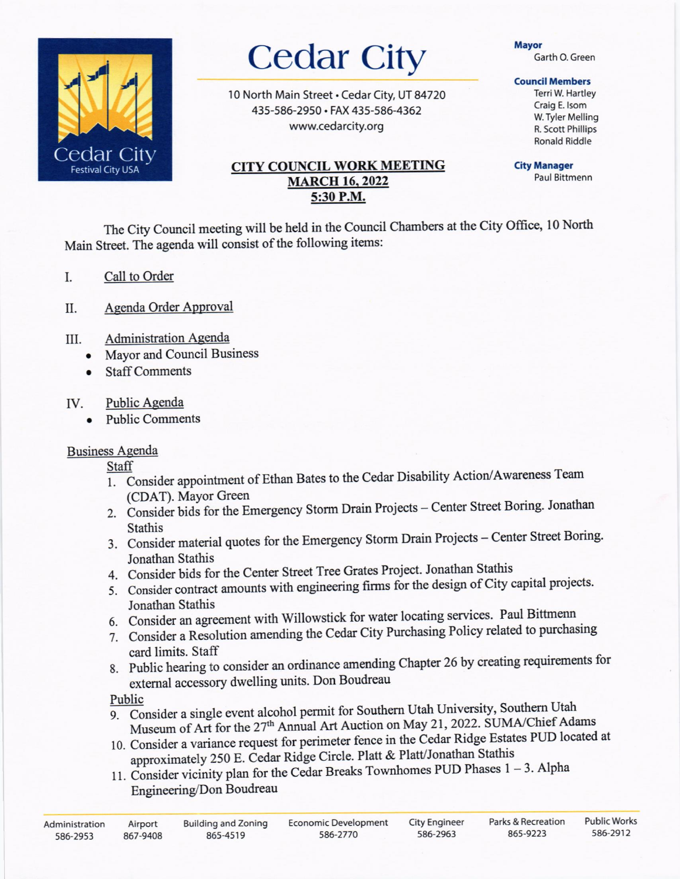

# **Cedar City**

10 North Main Street . Cedar City, UT 84720 435-586-2950 · FAX 435-586-4362 www.cedarcity.org

## **CITY COUNCIL WORK MEETING MARCH 16, 2022** 5:30 P.M.

### **Mavor**

Garth O. Green

## **Council Members**

Terri W. Hartley Craig E. Isom W. Tyler Melling R. Scott Phillips **Ronald Riddle** 

**City Manager** Paul Bittmenn

The City Council meeting will be held in the Council Chambers at the City Office, 10 North Main Street. The agenda will consist of the following items:

- Call to Order I.
- Agenda Order Approval  $II.$
- **Administration Agenda** III.
	- Mayor and Council Business  $\bullet$
	- **Staff Comments**  $\bullet$

#### Public Agenda IV.

**Public Comments** 

# **Business Agenda**

Staff

- 1. Consider appointment of Ethan Bates to the Cedar Disability Action/Awareness Team (CDAT). Mayor Green
- 2. Consider bids for the Emergency Storm Drain Projects Center Street Boring. Jonathan **Stathis**
- 3. Consider material quotes for the Emergency Storm Drain Projects Center Street Boring. Jonathan Stathis
- 4. Consider bids for the Center Street Tree Grates Project. Jonathan Stathis
- 5. Consider contract amounts with engineering firms for the design of City capital projects. Jonathan Stathis
- 6. Consider an agreement with Willowstick for water locating services. Paul Bittmenn
- 7. Consider a Resolution amending the Cedar City Purchasing Policy related to purchasing card limits. Staff
- 8. Public hearing to consider an ordinance amending Chapter 26 by creating requirements for external accessory dwelling units. Don Boudreau

# Public

- 9. Consider a single event alcohol permit for Southern Utah University, Southern Utah Museum of Art for the 27<sup>th</sup> Annual Art Auction on May 21, 2022. SUMA/Chief Adams
- 10. Consider a variance request for perimeter fence in the Cedar Ridge Estates PUD located at approximately 250 E. Cedar Ridge Circle. Platt & Platt/Jonathan Stathis
- 11. Consider vicinity plan for the Cedar Breaks Townhomes PUD Phases  $1 3$ . Alpha Engineering/Don Boudreau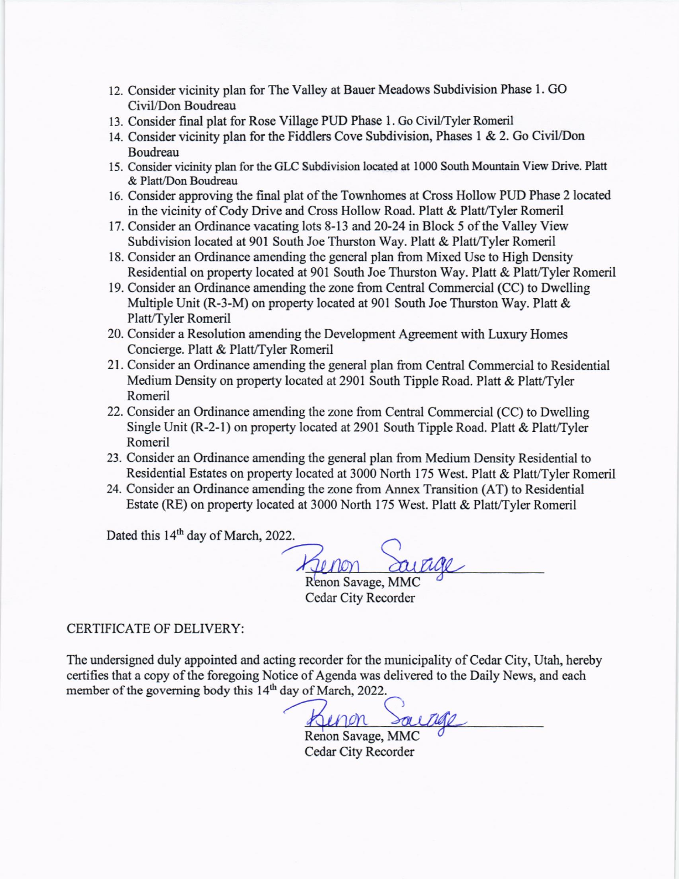- 12. Consider vicinity plan for The Valley at Bauer Meadows Subdivision Phase l. GO CiviL/Don Boudreau
- 13. Consider final plat for Rose Village PUD Phase 1. Go Civil/Tyler Romeril
- 14. Consider vicinity plan for the Fiddlers Cove Subdivision, Phases I & 2. Go CiviVDon Boudreau
- 15. Consider vicinity plan for the GLC Subdivision located at 1000 South Mountain View Drive. Platt & Platt/Don Boudreau
- 16. Consider approving the final plat of the Townhomes at Cross Hollow PUD Phase 2 located in the vicinity of Cody Drive and Cross Hollow Road. Platt & Platt/Tyler Romeril
- 17. Consider an Ordinance vacating lots 8-13 and 20-24 in Block 5 of the Valley View Subdivision located at 901 South Joe Thurston Way. Platt & Platt/Tyler Romeril
- 18. Consider an Ordinance amending the general plan from Mixed Use to High Density Residential on property located at 901 South Joe Thurston Way. Platt & Platt/Tyler Romeril
- 19. Consider an Ordinance amending the zone from Central Commercial (CC) to Dwelling Multiple Unit (R-3-M) on property located at 901 South Joe Thurston Way. Platt & Platt/Tyler Romeril
- 20. Consider a Resolution amending the Development Agreement with Luxury Homes Concierge. Platt & Platt/Tyler Romeril
- 21. Consider an Ordinance amending the general plan from Central Commercial to Residential Medium Density on property located at 2901 South Tipple Road. Platt & Platt/Tyler Romeril
- 22. Consider an Ordinance amending the zone from Central Commercial (CC) to Dwelling Single Unit (R-2-1) on property located at 2901 South Tipple Road. Platt & Platt/Tyler Romeril
- 23. Consider an Ordinance amending the general plan fiom Medium Density Residential to Residential Estates on property located at 3000 North 175 West. Platt & Platt/Tyler Romeril
- 24. Consider an Ordinance amending the zone from Annex Transition (AT) to Residential Estate (RE) on property located at 3000 North 175 West. Platt & Platt/Tyler Romeril

Dated this 14<sup>th</sup> day of March, 2022.

Renon Savage, MMC Cedar City Recorder

## CERTIFICATE OF DELIVERY:

The undersigned duly appointed and acting recorder for the municipality of Cedar City, Utah, hereby certifies that a copy of the foregoing Notice of Agenda was delivered to the Daily News, and each member of the governing body this 14<sup>th</sup> day of March, 2022.

)Kinon

Renon Savage, MMC Cedar City Recorder